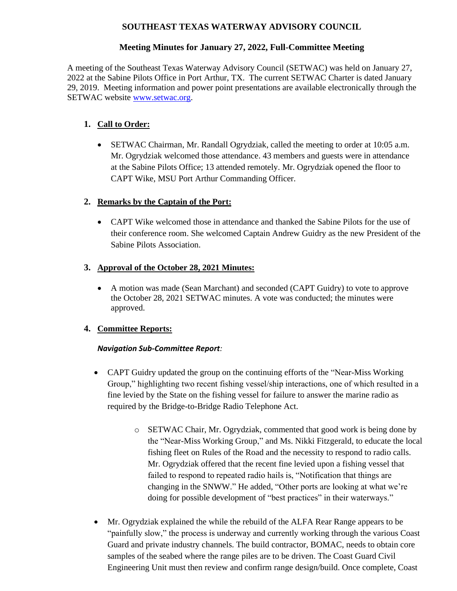## **SOUTHEAST TEXAS WATERWAY ADVISORY COUNCIL**

## **Meeting Minutes for January 27, 2022, Full-Committee Meeting**

A meeting of the Southeast Texas Waterway Advisory Council (SETWAC) was held on January 27, 2022 at the Sabine Pilots Office in Port Arthur, TX. The current SETWAC Charter is dated January 29, 2019. Meeting information and power point presentations are available electronically through the SETWAC website [www.setwac.org.](http://www.setwac.org/)

# **1. Call to Order:**

• SETWAC Chairman, Mr. Randall Ogrydziak, called the meeting to order at 10:05 a.m. Mr. Ogrydziak welcomed those attendance. 43 members and guests were in attendance at the Sabine Pilots Office; 13 attended remotely. Mr. Ogrydziak opened the floor to CAPT Wike, MSU Port Arthur Commanding Officer.

### **2. Remarks by the Captain of the Port:**

• CAPT Wike welcomed those in attendance and thanked the Sabine Pilots for the use of their conference room. She welcomed Captain Andrew Guidry as the new President of the Sabine Pilots Association.

### **3. Approval of the October 28, 2021 Minutes:**

• A motion was made (Sean Marchant) and seconded (CAPT Guidry) to vote to approve the October 28, 2021 SETWAC minutes. A vote was conducted; the minutes were approved.

### **4. Committee Reports:**

### *Navigation Sub-Committee Report:*

- CAPT Guidry updated the group on the continuing efforts of the "Near-Miss Working" Group," highlighting two recent fishing vessel/ship interactions, one of which resulted in a fine levied by the State on the fishing vessel for failure to answer the marine radio as required by the Bridge-to-Bridge Radio Telephone Act.
	- o SETWAC Chair, Mr. Ogrydziak, commented that good work is being done by the "Near-Miss Working Group," and Ms. Nikki Fitzgerald, to educate the local fishing fleet on Rules of the Road and the necessity to respond to radio calls. Mr. Ogrydziak offered that the recent fine levied upon a fishing vessel that failed to respond to repeated radio hails is, "Notification that things are changing in the SNWW." He added, "Other ports are looking at what we're doing for possible development of "best practices" in their waterways."
- Mr. Ogrydziak explained the while the rebuild of the ALFA Rear Range appears to be "painfully slow," the process is underway and currently working through the various Coast Guard and private industry channels. The build contractor, BOMAC, needs to obtain core samples of the seabed where the range piles are to be driven. The Coast Guard Civil Engineering Unit must then review and confirm range design/build. Once complete, Coast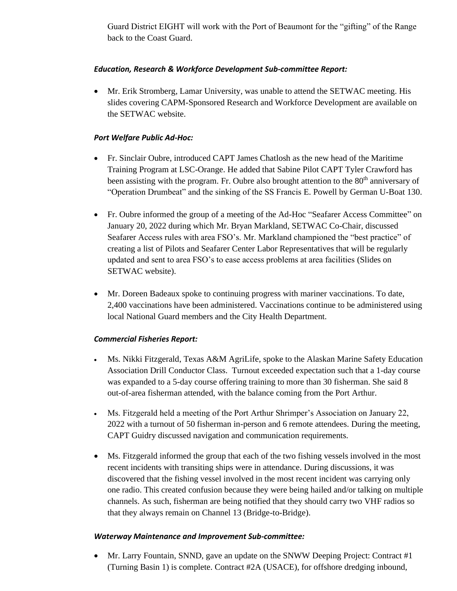Guard District EIGHT will work with the Port of Beaumont for the "gifting" of the Range back to the Coast Guard.

#### *Education, Research & Workforce Development Sub-committee Report:*

• Mr. Erik Stromberg, Lamar University, was unable to attend the SETWAC meeting. His slides covering CAPM-Sponsored Research and Workforce Development are available on the SETWAC website.

#### *Port Welfare Public Ad-Hoc:*

- Fr. Sinclair Oubre, introduced CAPT James Chatlosh as the new head of the Maritime Training Program at LSC-Orange. He added that Sabine Pilot CAPT Tyler Crawford has been assisting with the program. Fr. Oubre also brought attention to the 80<sup>th</sup> anniversary of "Operation Drumbeat" and the sinking of the SS Francis E. Powell by German U-Boat 130.
- Fr. Oubre informed the group of a meeting of the Ad-Hoc "Seafarer Access Committee" on January 20, 2022 during which Mr. Bryan Markland, SETWAC Co-Chair, discussed Seafarer Access rules with area FSO's. Mr. Markland championed the "best practice" of creating a list of Pilots and Seafarer Center Labor Representatives that will be regularly updated and sent to area FSO's to ease access problems at area facilities (Slides on SETWAC website).
- Mr. Doreen Badeaux spoke to continuing progress with mariner vaccinations. To date, 2,400 vaccinations have been administered. Vaccinations continue to be administered using local National Guard members and the City Health Department.

#### *Commercial Fisheries Report:*

- Ms. Nikki Fitzgerald, Texas A&M AgriLife, spoke to the Alaskan Marine Safety Education Association Drill Conductor Class. Turnout exceeded expectation such that a 1-day course was expanded to a 5-day course offering training to more than 30 fisherman. She said 8 out-of-area fisherman attended, with the balance coming from the Port Arthur.
- Ms. Fitzgerald held a meeting of the Port Arthur Shrimper's Association on January 22, 2022 with a turnout of 50 fisherman in-person and 6 remote attendees. During the meeting, CAPT Guidry discussed navigation and communication requirements.
- Ms. Fitzgerald informed the group that each of the two fishing vessels involved in the most recent incidents with transiting ships were in attendance. During discussions, it was discovered that the fishing vessel involved in the most recent incident was carrying only one radio. This created confusion because they were being hailed and/or talking on multiple channels. As such, fisherman are being notified that they should carry two VHF radios so that they always remain on Channel 13 (Bridge-to-Bridge).

#### *Waterway Maintenance and Improvement Sub-committee:*

• Mr. Larry Fountain, SNND, gave an update on the SNWW Deeping Project: Contract #1 (Turning Basin 1) is complete. Contract #2A (USACE), for offshore dredging inbound,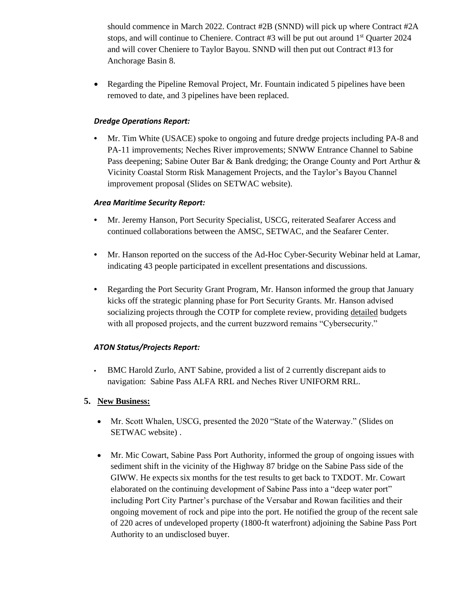should commence in March 2022. Contract #2B (SNND) will pick up where Contract #2A stops, and will continue to Cheniere. Contract  $#3$  will be put out around  $1<sup>st</sup>$  Quarter 2024 and will cover Cheniere to Taylor Bayou. SNND will then put out Contract #13 for Anchorage Basin 8.

• Regarding the Pipeline Removal Project, Mr. Fountain indicated 5 pipelines have been removed to date, and 3 pipelines have been replaced.

### *Dredge Operations Report:*

**•** Mr. Tim White (USACE) spoke to ongoing and future dredge projects including PA-8 and PA-11 improvements; Neches River improvements; SNWW Entrance Channel to Sabine Pass deepening; Sabine Outer Bar & Bank dredging; the Orange County and Port Arthur & Vicinity Coastal Storm Risk Management Projects, and the Taylor's Bayou Channel improvement proposal (Slides on SETWAC website).

### *Area Maritime Security Report:*

- **•** Mr. Jeremy Hanson, Port Security Specialist, USCG, reiterated Seafarer Access and continued collaborations between the AMSC, SETWAC, and the Seafarer Center.
- **•** Mr. Hanson reported on the success of the Ad-Hoc Cyber-Security Webinar held at Lamar, indicating 43 people participated in excellent presentations and discussions.
- **•** Regarding the Port Security Grant Program, Mr. Hanson informed the group that January kicks off the strategic planning phase for Port Security Grants. Mr. Hanson advised socializing projects through the COTP for complete review, providing detailed budgets with all proposed projects, and the current buzzword remains "Cybersecurity."

### *ATON Status/Projects Report:*

**•** BMC Harold Zurlo, ANT Sabine, provided a list of 2 currently discrepant aids to navigation: Sabine Pass ALFA RRL and Neches River UNIFORM RRL.

### **5. New Business:**

- Mr. Scott Whalen, USCG, presented the 2020 "State of the Waterway." (Slides on SETWAC website) .
- Mr. Mic Cowart, Sabine Pass Port Authority, informed the group of ongoing issues with sediment shift in the vicinity of the Highway 87 bridge on the Sabine Pass side of the GIWW. He expects six months for the test results to get back to TXDOT. Mr. Cowart elaborated on the continuing development of Sabine Pass into a "deep water port" including Port City Partner's purchase of the Versabar and Rowan facilities and their ongoing movement of rock and pipe into the port. He notified the group of the recent sale of 220 acres of undeveloped property (1800-ft waterfront) adjoining the Sabine Pass Port Authority to an undisclosed buyer.